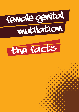



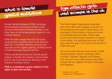Female Genital Mutilation (FGM) comprises all procedures involving the partial or total removal of the external female genitalia or any other injury to the female genital organs for nonmedical reasons.

FGM has been categorised into four types, ranging from a symbolic prick to the clitoris or prepuce, to the fairly extensive removal and narrowing of the vaginal opening. All these forms of FGM have been found in the UK.

FGM is sometimes known as 'female genital cutting' or female circumcision. Communities tend to use local names for referring to this practice, including 'sunna'.

FGM is considered a grave violation of the rights of girls and women.

# what is female fgm affects girls fgm affects girls

The World Health Organisation estimates that three million girls undergo some form of the procedure every year in Africa alone. It is practised in 28 countries in Africa and some in the Middle East and Asia. FGM is also found in the UK amongst members of migrant communities. It is estimated that over 20,000 girls under the age of 15 in the UK are at risk of FGM each year<sup>1</sup>

UK communities that are most at risk of FGM include Kenyan, Somali, Sudanese, Sierra Leonean, Egyptian, Nigerian and Eritrean. Non-African communities that practise FGM include Yemeni, Afghani, Kurdish, Indonesian and Pakistani.

1 Dorkenoo et al, 2007. Available from FORWARD UK.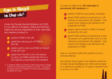## fgm is illegal in the uk2

Under the Female Genital Mutilation Act 2003 it is an offence in England, Wales and Northern Ireland for anyone (regardless of their nationality and residence status) to:



- perform FGM in the UK;
- assist the carrying out of FGM in the UK;



- assist a girl to carry out FGM on herself in the UK; and
- assist from the UK a non-UK person to carry out FGM outside the UK on a UK national or permanent UK resident.
- 2 In England, Wales and Northern Ireland the practice is illegal under the Female Genital Mutilation Act 2003. In Scotland it is illegal under the Prohibition of Female Genital Mutilation (Scotland) Act 2005.

It is also an offence for **UK nationals or** permanent UK residents to:

- perform FGM on any person overseas;
- assist FGM carried out abroad by a UK national or permanent UK resident – this would cover taking a girl abroad to be subjected to FGM;
- assist a girl to perform FGM on herself outside the UK; and
- assist FGM carried out abroad by a non-UK person on a girl/woman who is a UK national or permanent UK resident – this would cover taking a girl abroad to be subjected to FGM;

even in countries where the practice is not a criminal offence.

Any person found guilty of an offence under the Female Genital Mutilation Act 2003 will be liable to a maximum penalty of 14 years' imprisonment or a fine or or both.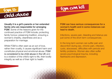



#### Usually it is a girl's parents or her extended family who are responsible for arranging

FGM. Some of the reasons given for the continued practice of FGM include; protecting family honour, preserving tradition, ensuring a woman's chastity, cleanliness and as a preparation for marriage.

Whilst FGM is often seen as an act of love, rather then cruelty, it causes significant harm and constitutes physical and emotional abuse. FGM is considered to be child abuse in the UK and is a violation of the child's right to life, their bodily integrity as well as of their right to health.

#### FGM can have serious consequences for a woman's health and in some instances can lead to death.

Infections, severe pain, bleeding and tetanus are just some of the short term consequences.

In the long term women can suffer pain and discomfort during sex, chronic pain, infection, cysts, abscesses, difficulties with periods and fertility problems. Women also often suffer severe psychological trauma, including flashbacks and depression.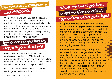

Women who have had FGM are significantly more likely to experience difficulties during childbirth and their babies are more likely to die as a result of the practice. Serious complications during childbirth include the need to have a caesarean section, dangerously heavy bleeding after the birth of the baby and prolonged hospitalisation following the birth.3



Female Genital Mutilation is not a religious requirement or obligation. FGM, including a symbolic prick to the clitoris, has no link with Islam and is neither a requirement nor a 'Sunna' in Islam. Globally most Muslims do not practise FGM.

FGM is not condoned by Christian or Jewish teachings, or the Bible or Torah.

3 World Health Organisation 2006



Suspicions may arise in a number of ways that a child is being prepared for FGM to take place abroad. These include knowing both that the family belongs to a community in which FGM is practised and is making preparations for the child to take a holiday, arranging vaccinations or planning absence from school. The child may also talk about a special procedure/ceremony that is going to take place.

Indicators that FGM may already have

occurred include prolonged absence from school or other activities with noticeable behaviour change on return, possibly with bladder or menstrual problems. Some teachers have described how children find it difficult to sit still and look uncomfortable, or may complain about pain between their legs, or talk of something somebody did to them that they are not allowed to talk about.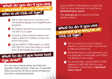## what do you do if you are concerned about someone who is at risk of fgm?

- Talk to them about your concerns, but use simple language and straightforward questions.
- - Be sensitive and let them know that they can talk to you again.



**Consult a child protection advisor and** make a referral to children's social care and/or the police.



## what to do if you have had fgm done?

You can seek medical advice and help from specialist health services. There are 15 specialist clinics around the UK and in some of these you can have a reversal procedure.

Call the NSPCC FGM helpline on 0800 028 3550 for more information or email them at fgmhelp@nspcc.org.uk.

Visit www.gov.uk and search for female genital mutilation.

## what to do if you are worried you may be at risk of fgm?



 $\blacktriangleright$  Talk to someone you trust, maybe a teacher or a school nurse. They are here to help and protect you.



- Remember that no-one is allowed to hurt you physically or emotionally, and FGM is not allowed in this country.
- - You can get help. Call the NSPCC FGM helpline on 0800 028 3550 for more information or email them at **fgmhelp@** nspcc.org.uk.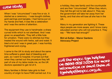

When I was "circumcised" I was five or six. It started as a ceremony - I was bought clothes, gold earrings and bangles. I had henna put on my hands and feet, it was like a celebration and I was the centre of attention.

The equipment they use is handmade: a sharp curved knife which is not sterilised. And I was given no anaesthetic. They left a little hole for urination. There were no stitches but they treated the wound with herbs, salt and water. It bled a lot and I was in great pain. I was horribly frightened and crying.

I came to the UK to study and about the same time suffered a great deal of bleeding and pain, so I went to hospital. It turned out that when they carried out the procedure they left part of one of my labia inside me, so the UK doctors operated to get rid of it.

Many families in Britain take girls to their country of origin to have FGM carried out. It is a holiday, they see family and the countryside and are then "circumcised". When they return, they tell the girl not to talk about it. They say the government will take her away from her family, and that she will lose all she has in the UK.

Many in my generation are fighting it. These days people are more aware, and I know many educated women who will not practice it. They say - "We have had enough!"

Bint al-Sultan - Manor Gardens Advocacy Project

Call the NSPCC FGM helpline call the veptor s550 for more information or email them at fgmhelp@nspcc.org.uk.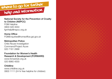

#### National Society for the Prevention of Cruelty to Children (NSPCC)

FGM Helpline 0800 028 3550 fgmhelp@nspcc.org.uk

Home Office FGMEnquiries@homeoffice.gsi.gov.uk

## Metropolitan Police

Child Abuse Investigation Command/Project Azure 020 7161 2888

#### Foundation for Women's Health Research & Development (FORWARD)

www.forwarduk.org.uk 020 8960 4000

### **Childline**

www.childline.org.uk 0800 1111 (24 hr free helpline for children)